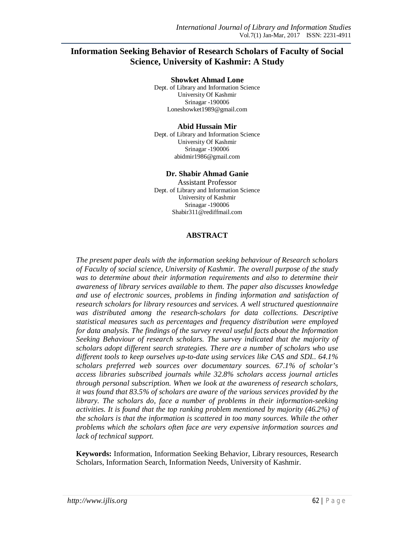# **Information Seeking Behavior of Research Scholars of Faculty of Social Science, University of Kashmir: A Study**

#### **Showket Ahmad Lone**

Dept. of Library and Information Science University Of Kashmir Srinagar -190006 Loneshowket1989@gmail.com

#### **Abid Hussain Mir**

Dept. of Library and Information Science University Of Kashmir Srinagar -190006 abidmir1986@gmail.com

#### **Dr. Shabir Ahmad Ganie**

Assistant Professor Dept. of Library and Information Science University of Kashmir Srinagar -190006 Shabir311@rediffmail.com

#### **ABSTRACT**

*The present paper deals with the information seeking behaviour of Research scholars of Faculty of social science, University of Kashmir. The overall purpose of the study was to determine about their information requirements and also to determine their awareness of library services available to them. The paper also discusses knowledge and use of electronic sources, problems in finding information and satisfaction of research scholars for library resources and services. A well structured questionnaire*  was distributed among the research-scholars for data collections. Descriptive *statistical measures such as percentages and frequency distribution were employed for data analysis. The findings of the survey reveal useful facts about the Information Seeking Behaviour of research scholars. The survey indicated that the majority of scholars adopt different search strategies. There are a number of scholars who use different tools to keep ourselves up-to-date using services like CAS and SDI.. 64.1% scholars preferred web sources over documentary sources. 67.1% of scholar's access libraries subscribed journals while 32.8% scholars access journal articles through personal subscription. When we look at the awareness of research scholars, it was found that 83.5% of scholars are aware of the various services provided by the library. The scholars do, face a number of problems in their information-seeking activities. It is found that the top ranking problem mentioned by majority (46.2%) of the scholars is that the information is scattered in too many sources. While the other problems which the scholars often face are very expensive information sources and lack of technical support.* 

**Keywords:** Information, Information Seeking Behavior, Library resources, Research Scholars, Information Search, Information Needs, University of Kashmir.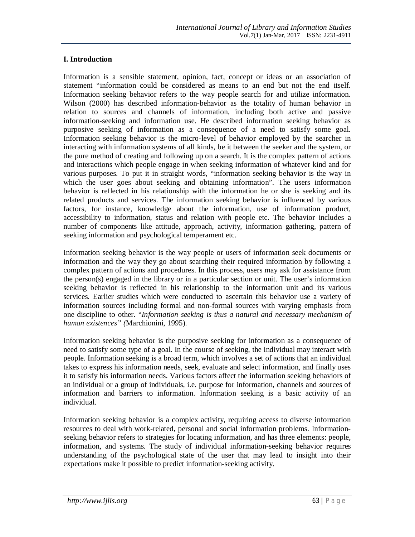# **I. Introduction**

Information is a sensible statement, opinion, fact, concept or ideas or an association of statement "information could be considered as means to an end but not the end itself. Information seeking behavior refers to the way people search for and utilize information. Wilson (2000) has described information-behavior as the totality of human behavior in relation to sources and channels of information, including both active and passive information-seeking and information use. He described information seeking behavior as purposive seeking of information as a consequence of a need to satisfy some goal. Information seeking behavior is the micro-level of behavior employed by the searcher in interacting with information systems of all kinds, be it between the seeker and the system, or the pure method of creating and following up on a search. It is the complex pattern of actions and interactions which people engage in when seeking information of whatever kind and for various purposes. To put it in straight words, "information seeking behavior is the way in which the user goes about seeking and obtaining information". The users information behavior is reflected in his relationship with the information he or she is seeking and its related products and services. The information seeking behavior is influenced by various factors, for instance, knowledge about the information, use of information product, accessibility to information, status and relation with people etc. The behavior includes a number of components like attitude, approach, activity, information gathering, pattern of seeking information and psychological temperament etc.

Information seeking behavior is the way people or users of information seek documents or information and the way they go about searching their required information by following a complex pattern of actions and procedures. In this process, users may ask for assistance from the person(s) engaged in the library or in a particular section or unit. The user's information seeking behavior is reflected in his relationship to the information unit and its various services. Earlier studies which were conducted to ascertain this behavior use a variety of information sources including formal and non-formal sources with varying emphasis from one discipline to other. "*Information seeking is thus a natural and necessary mechanism of human existences" (*Marchionini, 1995).

Information seeking behavior is the purposive seeking for information as a consequence of need to satisfy some type of a goal. In the course of seeking, the individual may interact with people. Information seeking is a broad term, which involves a set of actions that an individual takes to express his information needs, seek, evaluate and select information, and finally uses it to satisfy his information needs. Various factors affect the information seeking behaviors of an individual or a group of individuals, i.e. purpose for information, channels and sources of information and barriers to information. Information seeking is a basic activity of an individual.

Information seeking behavior is a complex activity, requiring access to diverse information resources to deal with work-related, personal and social information problems. Informationseeking behavior refers to strategies for locating information, and has three elements: people, information, and systems. The study of individual information-seeking behavior requires understanding of the psychological state of the user that may lead to insight into their expectations make it possible to predict information-seeking activity.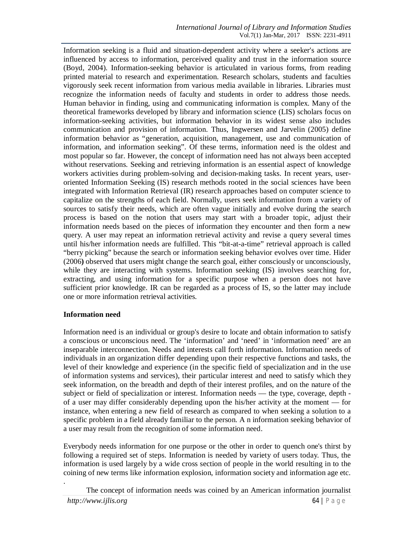Information seeking is a fluid and situation-dependent activity where a seeker's actions are influenced by access to information, perceived quality and trust in the information source (Boyd, 2004). Information-seeking behavior is articulated in various forms, from reading printed material to research and experimentation. Research scholars, students and faculties vigorously seek recent information from various media available in libraries. Libraries must recognize the information needs of faculty and students in order to address those needs. Human behavior in finding, using and communicating information is complex. Many of the theoretical frameworks developed by library and information science (LIS) scholars focus on information-seeking activities, but information behavior in its widest sense also includes communication and provision of information. Thus, Ingwersen and Jarvelin (2005) define information behavior as "generation, acquisition, management, use and communication of information, and information seeking". Of these terms, information need is the oldest and most popular so far. However, the concept of information need has not always been accepted without reservations. Seeking and retrieving information is an essential aspect of knowledge workers activities during problem-solving and decision-making tasks. In recent years, useroriented Information Seeking (IS) research methods rooted in the social sciences have been integrated with Information Retrieval (IR) research approaches based on computer science to capitalize on the strengths of each field. Normally, users seek information from a variety of sources to satisfy their needs, which are often vague initially and evolve during the search process is based on the notion that users may start with a broader topic, adjust their information needs based on the pieces of information they encounter and then form a new query. A user may repeat an information retrieval activity and revise a query several times until his/her information needs are fulfilled. This "bit-at-a-time" retrieval approach is called "berry picking" because the search or information seeking behavior evolves over time. Hider (2006**)** observed that users might change the search goal, either consciously or unconsciously, while they are interacting with systems. Information seeking (IS) involves searching for, extracting, and using information for a specific purpose when a person does not have sufficient prior knowledge. IR can be regarded as a process of IS, so the latter may include one or more information retrieval activities.

## **Information need**

Information need is an individual or group's desire to locate and obtain information to satisfy a conscious or unconscious need. The 'information' and 'need' in 'information need' are an inseparable interconnection. Needs and interests call forth information. Information needs of individuals in an organization differ depending upon their respective functions and tasks, the level of their knowledge and experience (in the specific field of specialization and in the use of information systems and services), their particular interest and need to satisfy which they seek information, on the breadth and depth of their interest profiles, and on the nature of the subject or field of specialization or interest. Information needs — the type, coverage, depth of a user may differ considerably depending upon the his/her activity at the moment — for instance, when entering a new field of research as compared to when seeking a solution to a specific problem in a field already familiar to the person. A n information seeking behavior of a user may result from the recognition of some information need.

Everybody needs information for one purpose or the other in order to quench one's thirst by following a required set of steps. Information is needed by variety of users today. Thus, the information is used largely by a wide cross section of people in the world resulting in to the coining of new terms like information explosion, information society and information age etc.

The concept of information needs was coined by an American information journalist

.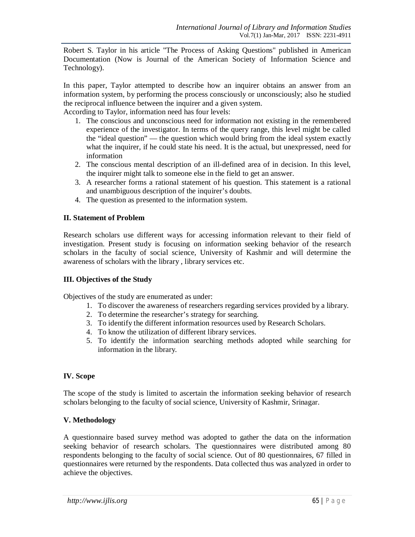Robert S. Taylor in his article "The Process of Asking Questions" published in American Documentation (Now is Journal of the American Society of Information Science and Technology).

In this paper, Taylor attempted to describe how an inquirer obtains an answer from an information system, by performing the process consciously or unconsciously; also he studied the reciprocal influence between the inquirer and a given system.

According to Taylor, information need has four levels:

- 1. The conscious and unconscious need for information not existing in the remembered experience of the investigator. In terms of the query range, this level might be called the "ideal question" — the question which would bring from the ideal system exactly what the inquirer, if he could state his need. It is the actual, but unexpressed, need for information
- 2. The conscious mental description of an ill-defined area of in decision. In this level, the inquirer might talk to someone else in the field to get an answer.
- 3. A researcher forms a rational statement of his question. This statement is a rational and unambiguous description of the inquirer's doubts.
- 4. The question as presented to the information system.

### **II. Statement of Problem**

Research scholars use different ways for accessing information relevant to their field of investigation. Present study is focusing on information seeking behavior of the research scholars in the faculty of social science, University of Kashmir and will determine the awareness of scholars with the library , library services etc.

#### **III. Objectives of the Study**

Objectives of the study are enumerated as under:

- 1. To discover the awareness of researchers regarding services provided by a library.
- 2. To determine the researcher's strategy for searching.
- 3. To identify the different information resources used by Research Scholars.
- 4. To know the utilization of different library services.
- 5. To identify the information searching methods adopted while searching for information in the library.

#### **IV. Scope**

The scope of the study is limited to ascertain the information seeking behavior of research scholars belonging to the faculty of social science, University of Kashmir, Srinagar.

#### **V. Methodology**

A questionnaire based survey method was adopted to gather the data on the information seeking behavior of research scholars. The questionnaires were distributed among 80 respondents belonging to the faculty of social science. Out of 80 questionnaires, 67 filled in questionnaires were returned by the respondents. Data collected thus was analyzed in order to achieve the objectives.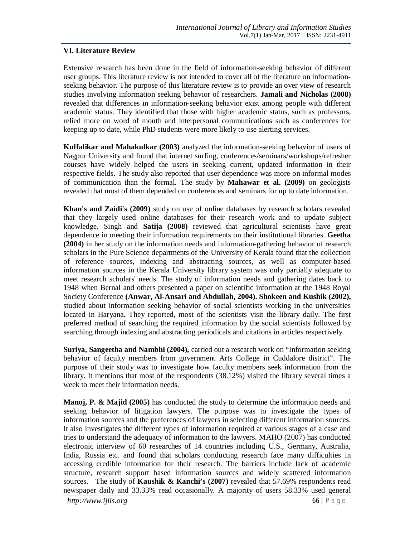### **VI. Literature Review**

Extensive research has been done in the field of information-seeking behavior of different user groups. This literature review is not intended to cover all of the literature on informationseeking behavior. The purpose of this literature review is to provide an over view of research studies involving information seeking behavior of researchers. **Jamali and Nicholas (2008)** revealed that differences in information-seeking behavior exist among people with different academic status. They identified that those with higher academic status, such as professors, relied more on word of mouth and interpersonal communications such as conferences for keeping up to date, while PhD students were more likely to use alerting services.

**Kuffalikar and Mahakulkar (2003)** analyzed the information-seeking behavior of users of Nagpur University and found that internet surfing, conferences/seminars/workshops/refresher courses have widely helped the users in seeking current, updated information in their respective fields. The study also reported that user dependence was more on informal modes of communication than the formal. The study by **Mahawar et al. (2009)** on geologists revealed that most of them depended on conferences and seminars for up to date information.

**Khan's and Zaidi's (2009)** study on use of online databases by research scholars revealed that they largely used online databases for their research work and to update subject knowledge. Singh and **Satija (2008)** reviewed that agricultural scientists have great dependence in meeting their information requirements on their institutional libraries. **Geetha (2004)** in her study on the information needs and information-gathering behavior of research scholars in the Pure Science departments of the University of Kerala found that the collection of reference sources, indexing and abstracting sources, as well as computer-based information sources in the Kerala University library system was only partially adequate to meet research scholars' needs. The study of information needs and gathering dates back to 1948 when Bernal and others presented a paper on scientific information at the 1948 Royal Society Conference **(Anwar, Al-Ansari and Abdullah, 2004). Shokeen and Kushik (2002),** studied about information seeking behavior of social scientists working in the universities located in Haryana. They reported, most of the scientists visit the library daily. The first preferred method of searching the required information by the social scientists followed by searching through indexing and abstracting periodicals and citations in articles respectively.

**Suriya, Sangeetha and Nambhi (2004),** carried out a research work on "Information seeking behavior of faculty members from government Arts College in Cuddalore district". The purpose of their study was to investigate how faculty members seek information from the library. It mentions that most of the respondents (38.12%) visited the library several times a week to meet their information needs.

**Manoj, P. & Majid (2005)** has conducted the study to determine the information needs and seeking behavior of litigation lawyers. The purpose was to investigate the types of information sources and the preferences of lawyers in selecting different information sources. It also investigates the different types of information required at various stages of a case and tries to understand the adequacy of information to the lawyers. MAHO (2007) has conducted electronic interview of 60 researches of 14 countries including U.S., Germany, Australia, India, Russia etc. and found that scholars conducting research face many difficulties in accessing credible information for their research. The barriers include lack of academic structure, research support based information sources and widely scattered information sources. The study of **Kaushik & Kanchi's (2007)** revealed that 57.69% respondents read newspaper daily and 33.33% read occasionally. A majority of users 58.33% used general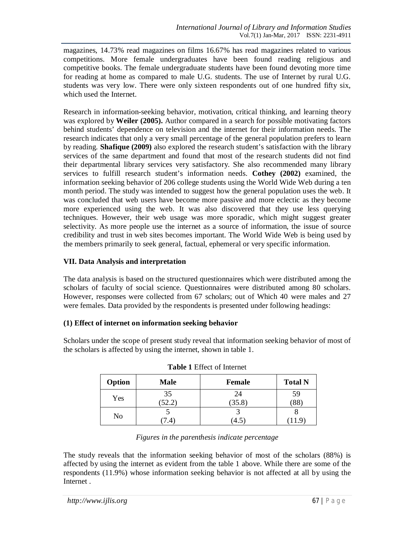magazines, 14.73% read magazines on films 16.67% has read magazines related to various competitions. More female undergraduates have been found reading religious and competitive books. The female undergraduate students have been found devoting more time for reading at home as compared to male U.G. students. The use of Internet by rural U.G. students was very low. There were only sixteen respondents out of one hundred fifty six, which used the Internet.

Research in information-seeking behavior, motivation, critical thinking, and learning theory was explored by **Weiler (2005).** Author compared in a search for possible motivating factors behind students' dependence on television and the internet for their information needs. The research indicates that only a very small percentage of the general population prefers to learn by reading. **Shafique (2009)** also explored the research student's satisfaction with the library services of the same department and found that most of the research students did not find their departmental library services very satisfactory. She also recommended many library services to fulfill research student's information needs. **Cothey (2002)** examined, the information seeking behavior of 206 college students using the World Wide Web during a ten month period. The study was intended to suggest how the general population uses the web. It was concluded that web users have become more passive and more eclectic as they become more experienced using the web. It was also discovered that they use less querying techniques. However, their web usage was more sporadic, which might suggest greater selectivity. As more people use the internet as a source of information, the issue of source credibility and trust in web sites becomes important. The World Wide Web is being used by the members primarily to seek general, factual, ephemeral or very specific information.

## **VII. Data Analysis and interpretation**

The data analysis is based on the structured questionnaires which were distributed among the scholars of faculty of social science. Questionnaires were distributed among 80 scholars. However, responses were collected from 67 scholars; out of Which 40 were males and 27 were females. Data provided by the respondents is presented under following headings:

## **(1) Effect of internet on information seeking behavior**

Scholars under the scope of present study reveal that information seeking behavior of most of the scholars is affected by using the internet, shown in table 1.

| Option | <b>Male</b> | <b>Female</b> | <b>Total N</b> |
|--------|-------------|---------------|----------------|
| Yes    | 35          | 24            | 59             |
|        | 52.2        | (35.8)        | (88)           |
|        |             |               |                |
| No     | 7.4         | 4.5           | 11.9           |

| <b>Table 1 Effect of Internet</b> |  |  |
|-----------------------------------|--|--|
|-----------------------------------|--|--|

### *Figures in the parenthesis indicate percentage*

The study reveals that the information seeking behavior of most of the scholars (88%) is affected by using the internet as evident from the table 1 above. While there are some of the respondents (11.9%) whose information seeking behavior is not affected at all by using the Internet .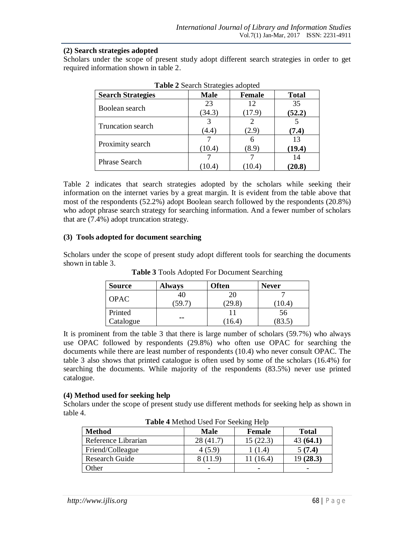### **(2) Search strategies adopted**

Scholars under the scope of present study adopt different search strategies in order to get required information shown in table 2.

| <b>Search Strategies</b> | <b>Male</b> | <b>Female</b> | <b>Total</b> |
|--------------------------|-------------|---------------|--------------|
| Boolean search           | 23          | 12            | 35           |
|                          | (34.3)      | (17.9)        | (52.2)       |
| <b>Truncation search</b> |             |               |              |
|                          | (4.4)       | (2.9)         | (7.4)        |
|                          |             | 6             | 13           |
| Proximity search         | (10.4)      | (8.9)         | (19.4)       |
| <b>Phrase Search</b>     |             |               |              |
|                          |             | 10.4          | (20.8)       |

**Table 2** Search Strategies adopted

Table 2 indicates that search strategies adopted by the scholars while seeking their information on the internet varies by a great margin. It is evident from the table above that most of the respondents (52.2%) adopt Boolean search followed by the respondents (20.8%) who adopt phrase search strategy for searching information. And a fewer number of scholars that are (7.4%) adopt truncation strategy.

### **(3) Tools adopted for document searching**

Scholars under the scope of present study adopt different tools for searching the documents shown in table 3.

| <b>Source</b> | <b>Always</b> | Often | <b>Never</b> |
|---------------|---------------|-------|--------------|
|               | 4U            | 20    |              |
| <b>OPAC</b>   | 59.           |       | 10.4         |
| Printed       |               |       | 56           |
| Catalogue     | --            | 16.4  | 83.5         |

**Table 3** Tools Adopted For Document Searching

It is prominent from the table 3 that there is large number of scholars (59.7%) who always use OPAC followed by respondents (29.8%) who often use OPAC for searching the documents while there are least number of respondents (10.4) who never consult OPAC. The table 3 also shows that printed catalogue is often used by some of the scholars (16.4%) for searching the documents. While majority of the respondents (83.5%) never use printed catalogue.

#### **(4) Method used for seeking help**

Scholars under the scope of present study use different methods for seeking help as shown in table 4.

| <b>Method</b>         | Male      | Female    | <b>Total</b> |  |
|-----------------------|-----------|-----------|--------------|--|
| Reference Librarian   | 28 (41.7) | 15(22.3)  | 43(64.1)     |  |
| Friend/Colleague      | 4 (5.9)   | (1.4)     | 5(7.4)       |  |
| <b>Research Guide</b> | (11.9)    | 11 (16.4) | 19(28.3)     |  |
| Other                 |           | -         | -            |  |

**Table 4** Method Used For Seeking Help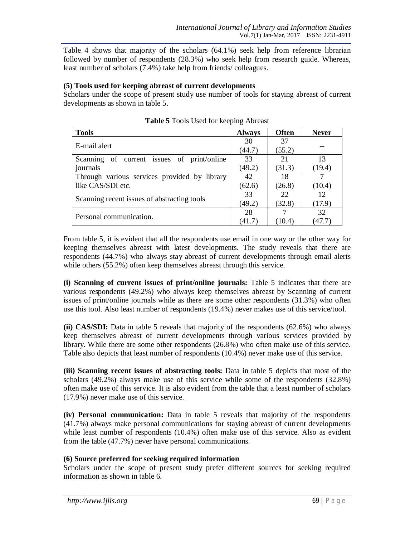Table 4 shows that majority of the scholars (64.1%) seek help from reference librarian followed by number of respondents (28.3%) who seek help from research guide. Whereas, least number of scholars (7.4%) take help from friends/ colleagues.

#### **(5) Tools used for keeping abreast of current developments**

Scholars under the scope of present study use number of tools for staying abreast of current developments as shown in table 5.

| <b>Tools</b>                                 | <b>Always</b> | <b>Often</b> | <b>Never</b> |
|----------------------------------------------|---------------|--------------|--------------|
| E-mail alert                                 | 30            | 37           |              |
|                                              | (44.7)        | (55.2)       |              |
| Scanning of current issues of print/online   | 33            | 21           | 13           |
| journals                                     | (49.2)        | (31.3)       | (19.4)       |
| Through various services provided by library | 42            | 18           |              |
| like CAS/SDI etc.                            | (62.6)        | (26.8)       | (10.4)       |
|                                              | 33            | 22           | 12           |
| Scanning recent issues of abstracting tools  | (49.2)        | (32.8)       | (17.9)       |
| Personal communication.                      | 28            |              | 32           |
|                                              | (41.7)        | 10.4)        | 47.7         |

**Table 5** Tools Used for keeping Abreast

From table 5, it is evident that all the respondents use email in one way or the other way for keeping themselves abreast with latest developments. The study reveals that there are respondents (44.7%) who always stay abreast of current developments through email alerts while others (55.2%) often keep themselves abreast through this service.

**(i) Scanning of current issues of print/online journals:** Table 5 indicates that there are various respondents (49.2%) who always keep themselves abreast by Scanning of current issues of print/online journals while as there are some other respondents (31.3%) who often use this tool. Also least number of respondents (19.4%) never makes use of this service/tool.

**(ii) CAS/SDI:** Data in table 5 reveals that majority of the respondents (62.6%) who always keep themselves abreast of current developments through various services provided by library. While there are some other respondents (26.8%) who often make use of this service. Table also depicts that least number of respondents (10.4%) never make use of this service.

**(iii) Scanning recent issues of abstracting tools:** Data in table 5 depicts that most of the scholars (49.2%) always make use of this service while some of the respondents (32.8%) often make use of this service. It is also evident from the table that a least number of scholars (17.9%) never make use of this service.

**(iv) Personal communication:** Data in table 5 reveals that majority of the respondents (41.7%) always make personal communications for staying abreast of current developments while least number of respondents (10.4%) often make use of this service. Also as evident from the table (47.7%) never have personal communications.

## **(6) Source preferred for seeking required information**

Scholars under the scope of present study prefer different sources for seeking required information as shown in table 6.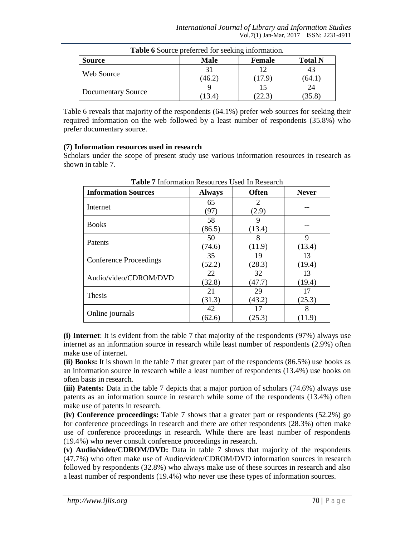| <b>Table 6</b> Source preferred for seeking information. |        |        |        |  |  |
|----------------------------------------------------------|--------|--------|--------|--|--|
| <b>Total N</b><br><b>Source</b><br>Male<br>Female        |        |        |        |  |  |
|                                                          | 31     | 12     | 43     |  |  |
| Web Source                                               | (46.2) | (17.9) | (64.1) |  |  |
|                                                          |        |        | 24     |  |  |
| Documentary Source                                       | (13.4) | 22.3   | (35.8) |  |  |

Table 6 reveals that majority of the respondents (64.1%) prefer web sources for seeking their required information on the web followed by a least number of respondents (35.8%) who prefer documentary source.

### **(7) Information resources used in research**

Scholars under the scope of present study use various information resources in research as shown in table 7.

| <b>Table</b> / Information Resources Osca in Research |               |              |              |  |  |
|-------------------------------------------------------|---------------|--------------|--------------|--|--|
| <b>Information Sources</b>                            | <b>Always</b> | <b>Often</b> | <b>Never</b> |  |  |
|                                                       | 65            | 2            |              |  |  |
| Internet                                              | (97)          | (2.9)        |              |  |  |
| <b>Books</b>                                          | 58            | 9            |              |  |  |
|                                                       | (86.5)        | (13.4)       |              |  |  |
|                                                       | 50            | 8            | 9            |  |  |
| Patents                                               | (74.6)        | (11.9)       | (13.4)       |  |  |
|                                                       | 35            | 19           | 13           |  |  |
| <b>Conference Proceedings</b>                         | (52.2)        | (28.3)       | (19.4)       |  |  |
| Audio/video/CDROM/DVD                                 | 22            | 32           | 13           |  |  |
|                                                       | (32.8)        | (47.7)       | (19.4)       |  |  |
| Thesis                                                | 21            | 29           | 17           |  |  |
|                                                       | (31.3)        | (43.2)       | (25.3)       |  |  |
| Online journals                                       | 42            | 17           | 8            |  |  |
|                                                       | (62.6)        | (25.3)       | (11.9)       |  |  |

**Table 7** Information Resources Used In Research

**(i) Internet**: It is evident from the table 7 that majority of the respondents (97%) always use internet as an information source in research while least number of respondents (2.9%) often make use of internet.

**(ii) Books:** It is shown in the table 7 that greater part of the respondents (86.5%) use books as an information source in research while a least number of respondents (13.4%) use books on often basis in research.

**(iii) Patents:** Data in the table 7 depicts that a major portion of scholars (74.6%) always use patents as an information source in research while some of the respondents (13.4%) often make use of patents in research.

**(iv) Conference proceedings:** Table 7 shows that a greater part or respondents (52.2%) go for conference proceedings in research and there are other respondents (28.3%) often make use of conference proceedings in research. While there are least number of respondents (19.4%) who never consult conference proceedings in research.

**(v) Audio/video/CDROM/DVD:** Data in table 7 shows that majority of the respondents (47.7%) who often make use of Audio/video/CDROM/DVD information sources in research followed by respondents (32.8%) who always make use of these sources in research and also a least number of respondents (19.4%) who never use these types of information sources.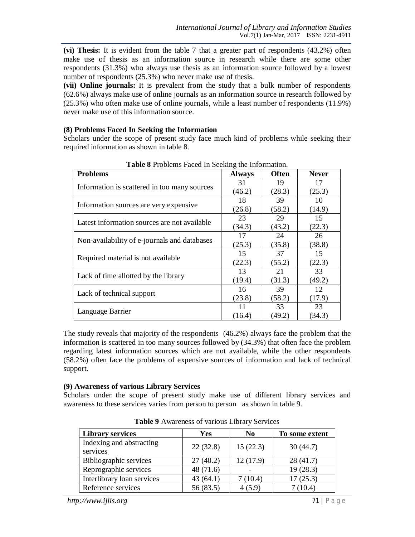**(vi) Thesis:** It is evident from the table 7 that a greater part of respondents (43.2%) often make use of thesis as an information source in research while there are some other respondents (31.3%) who always use thesis as an information source followed by a lowest number of respondents (25.3%) who never make use of thesis.

**(vii) Online journals:** It is prevalent from the study that a bulk number of respondents (62.6%) always make use of online journals as an information source in research followed by (25.3%) who often make use of online journals, while a least number of respondents (11.9%) never make use of this information source.

#### **(8) Problems Faced In Seeking the Information**

Scholars under the scope of present study face much kind of problems while seeking their required information as shown in table 8.

| <b>Problems</b>                              | <b>Always</b> | <b>Often</b> | <b>Never</b> |
|----------------------------------------------|---------------|--------------|--------------|
|                                              | 31            | 19           | 17           |
| Information is scattered in too many sources | (46.2)        | (28.3)       | (25.3)       |
|                                              | 18            | 39           | 10           |
| Information sources are very expensive       | (26.8)        | (58.2)       | (14.9)       |
|                                              | 23            | 29           | 15           |
| Latest information sources are not available | (34.3)        | (43.2)       | (22.3)       |
|                                              | 17            | 24           | 26           |
| Non-availability of e-journals and databases | (25.3)        | (35.8)       | (38.8)       |
|                                              | 15            | 37           | 15           |
| Required material is not available           | (22.3)        | (55.2)       | (22.3)       |
|                                              | 13            | 21           | 33           |
| Lack of time allotted by the library         | (19.4)        | (31.3)       | (49.2)       |
|                                              | 16            | 39           | 12           |
| Lack of technical support                    | (23.8)        | (58.2)       | (17.9)       |
|                                              | 11            | 33           | 23           |
| Language Barrier                             | (16.4)        | (49.2)       | (34.3)       |

**Table 8** Problems Faced In Seeking the Information.

The study reveals that majority of the respondents (46.2%) always face the problem that the information is scattered in too many sources followed by (34.3%) that often face the problem regarding latest information sources which are not available, while the other respondents (58.2%) often face the problems of expensive sources of information and lack of technical support.

#### **(9) Awareness of various Library Services**

Scholars under the scope of present study make use of different library services and awareness to these services varies from person to person as shown in table 9.

| <b>Library services</b>              | Yes         | N <sub>0</sub> | To some extent |
|--------------------------------------|-------------|----------------|----------------|
| Indexing and abstracting<br>services | 22(32.8)    | 15(22.3)       | 30(44.7)       |
| Bibliographic services               | 27(40.2)    | 12(17.9)       | 28(41.7)       |
| Reprographic services                | 48 $(71.6)$ |                | 19 (28.3)      |
| Interlibrary loan services           | 43(64.1)    | 7(10.4)        | 17(25.3)       |
| Reference services                   | 56 (83.5)   | 4(5.9)         | 7(10.4)        |

**Table 9** Awareness of various Library Services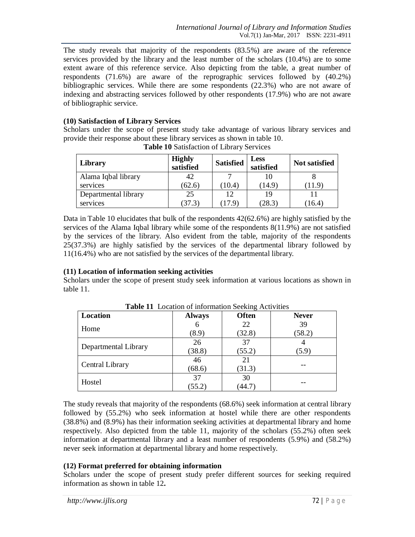The study reveals that majority of the respondents (83.5%) are aware of the reference services provided by the library and the least number of the scholars (10.4%) are to some extent aware of this reference service. Also depicting from the table, a great number of respondents (71.6%) are aware of the reprographic services followed by (40.2%) bibliographic services. While there are some respondents (22.3%) who are not aware of indexing and abstracting services followed by other respondents (17.9%) who are not aware of bibliographic service.

### **(10) Satisfaction of Library Services**

Scholars under the scope of present study take advantage of various library services and provide their response about these library services as shown in table 10.

| Library              | <b>Highly</b><br>satisfied | <b>Satisfied</b> | <b>Less</b><br>satisfied | <b>Not satisfied</b> |
|----------------------|----------------------------|------------------|--------------------------|----------------------|
| Alama Iqbal library  | 42                         |                  |                          |                      |
| services             | (62.6)                     | (10.4)           | (14.9)                   | T1.9                 |
| Departmental library | 25                         | 12               | 19                       |                      |
| services             | (37.3)                     | 17.9             | (28.3)                   | (16.4)               |

|  | Table 10 Satisfaction of Library Services |  |  |
|--|-------------------------------------------|--|--|
|--|-------------------------------------------|--|--|

Data in Table 10 elucidates that bulk of the respondents  $42(62.6%)$  are highly satisfied by the services of the Alama Iqbal library while some of the respondents 8(11.9%) are not satisfied by the services of the library. Also evident from the table, majority of the respondents 25(37.3%) are highly satisfied by the services of the departmental library followed by 11(16.4%) who are not satisfied by the services of the departmental library.

#### **(11) Location of information seeking activities**

Scholars under the scope of present study seek information at various locations as shown in table 11.

| <b>Location</b>        | <b>Always</b> | <b>Often</b> | <b>Never</b> |
|------------------------|---------------|--------------|--------------|
| Home                   | 6             | 22           | 39           |
|                        | (8.9)         | (32.8)       | (58.2)       |
| Departmental Library   | 26            | 37           |              |
|                        | (38.8)        | (55.2)       | (5.9)        |
| <b>Central Library</b> | 46            | 21           |              |
|                        | (68.6)        | (31.3)       |              |
| Hostel                 | 37            | 30           |              |
|                        | (55.2)        | (44.7)       |              |

**Table 11** Location of information Seeking Activities

The study reveals that majority of the respondents (68.6%) seek information at central library followed by (55.2%) who seek information at hostel while there are other respondents (38.8%) and (8.9%) has their information seeking activities at departmental library and home respectively. Also depicted from the table 11, majority of the scholars (55.2%) often seek information at departmental library and a least number of respondents (5.9%) and (58.2%) never seek information at departmental library and home respectively.

## **(12) Format preferred for obtaining information**

Scholars under the scope of present study prefer different sources for seeking required information as shown in table 12**.**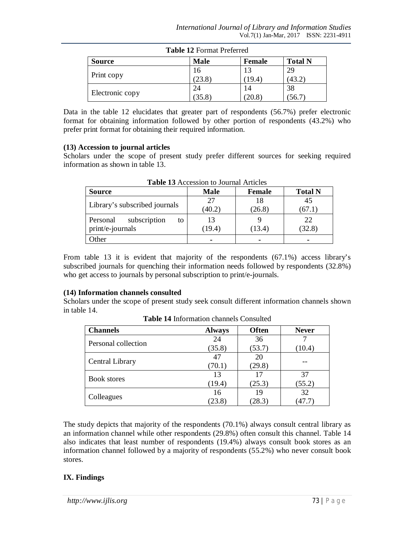| <b>Table 12</b> Format Preferred |             |               |                |  |
|----------------------------------|-------------|---------------|----------------|--|
| <b>Source</b>                    | <b>Male</b> | <b>Female</b> | <b>Total N</b> |  |
|                                  | 16          |               | 29             |  |
| Print copy                       | (23.8)      | 19.4          | (43.2)         |  |
|                                  | 24          |               | 38             |  |
| Electronic copy                  | (35.8)      | 20.8          | 56.            |  |

**Table 12** Format Preferred

Data in the table 12 elucidates that greater part of respondents (56.7%) prefer electronic format for obtaining information followed by other portion of respondents (43.2%) who prefer print format for obtaining their required information.

### **(13) Accession to journal articles**

Scholars under the scope of present study prefer different sources for seeking required information as shown in table 13.

| <b>Source</b>                                      | Male         | <b>Female</b> | <b>Total N</b> |  |  |
|----------------------------------------------------|--------------|---------------|----------------|--|--|
| Library's subscribed journals                      | 27<br>(40.2) | 18<br>(26.8)  | 45<br>(67.1)   |  |  |
| subscription<br>Personal<br>to<br>print/e-journals | 13<br>(19.4) | (13.4)        | 22<br>(32.8)   |  |  |
| Other                                              |              | ۰             | -              |  |  |

**Table 13** Accession to Journal Articles

From table 13 it is evident that majority of the respondents (67.1%) access library's subscribed journals for quenching their information needs followed by respondents (32.8%) who get access to journals by personal subscription to print/e-journals.

## **(14) Information channels consulted**

Scholars under the scope of present study seek consult different information channels shown in table 14.

| <b>Channels</b>        | <b>Always</b> | <b>Often</b> | <b>Never</b> |
|------------------------|---------------|--------------|--------------|
| Personal collection    | 24            | 36           |              |
|                        | (35.8)        | (53.7)       | (10.4)       |
|                        | 47            | 20           |              |
| <b>Central Library</b> | (70.1)        | (29.8)       |              |
|                        | 13            | 17           | 37           |
| <b>Book stores</b>     | (19.4)        | (25.3)       | (55.2)       |
|                        | 16            | 19           | 32           |
| Colleagues             | 23.8          | (28.3)       | (47.7)       |

**Table 14** Information channels Consulted

The study depicts that majority of the respondents (70.1%) always consult central library as an information channel while other respondents (29.8%) often consult this channel. Table 14 also indicates that least number of respondents (19.4%) always consult book stores as an information channel followed by a majority of respondents (55.2%) who never consult book stores.

# **IX. Findings**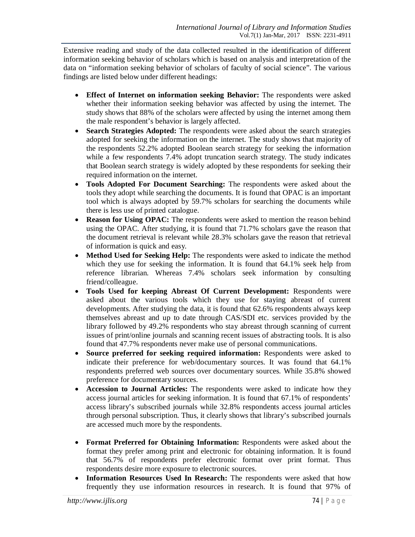Extensive reading and study of the data collected resulted in the identification of different information seeking behavior of scholars which is based on analysis and interpretation of the data on "information seeking behavior of scholars of faculty of social science". The various findings are listed below under different headings:

- **Effect of Internet on information seeking Behavior:** The respondents were asked whether their information seeking behavior was affected by using the internet. The study shows that 88% of the scholars were affected by using the internet among them the male respondent's behavior is largely affected.
- **Search Strategies Adopted:** The respondents were asked about the search strategies adopted for seeking the information on the internet. The study shows that majority of the respondents 52.2% adopted Boolean search strategy for seeking the information while a few respondents 7.4% adopt truncation search strategy. The study indicates that Boolean search strategy is widely adopted by these respondents for seeking their required information on the internet.
- **Tools Adopted For Document Searching:** The respondents were asked about the tools they adopt while searching the documents. It is found that OPAC is an important tool which is always adopted by 59.7% scholars for searching the documents while there is less use of printed catalogue.
- **Reason for Using OPAC:** The respondents were asked to mention the reason behind using the OPAC. After studying, it is found that 71.7% scholars gave the reason that the document retrieval is relevant while 28.3% scholars gave the reason that retrieval of information is quick and easy.
- **Method Used for Seeking Help:** The respondents were asked to indicate the method which they use for seeking the information. It is found that 64.1% seek help from reference librarian. Whereas 7.4% scholars seek information by consulting friend/colleague.
- **Tools Used for keeping Abreast Of Current Development:** Respondents were asked about the various tools which they use for staying abreast of current developments. After studying the data, it is found that 62.6% respondents always keep themselves abreast and up to date through CAS/SDI etc. services provided by the library followed by 49.2% respondents who stay abreast through scanning of current issues of print/online journals and scanning recent issues of abstracting tools. It is also found that 47.7% respondents never make use of personal communications.
- **Source preferred for seeking required information:** Respondents were asked to indicate their preference for web/documentary sources. It was found that 64.1% respondents preferred web sources over documentary sources. While 35.8% showed preference for documentary sources.
- **Accession to Journal Articles:** The respondents were asked to indicate how they access journal articles for seeking information. It is found that 67.1% of respondents' access library's subscribed journals while 32.8% respondents access journal articles through personal subscription. Thus, it clearly shows that library's subscribed journals are accessed much more by the respondents.
- **Format Preferred for Obtaining Information:** Respondents were asked about the format they prefer among print and electronic for obtaining information. It is found that 56.7% of respondents prefer electronic format over print format. Thus respondents desire more exposure to electronic sources.
- **Information Resources Used In Research:** The respondents were asked that how frequently they use information resources in research. It is found that 97% of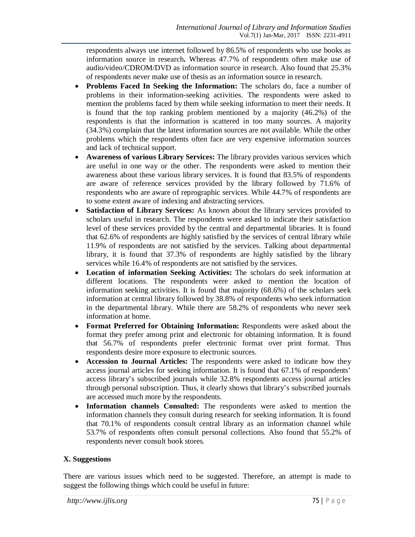respondents always use internet followed by 86.5% of respondents who use books as information source in research**.** Whereas 47.7% of respondents often make use of audio/video/CDROM/DVD as information source in research. Also found that 25.3% of respondents never make use of thesis as an information source in research.

- **Problems Faced In Seeking the Information:** The scholars do, face a number of problems in their information-seeking activities. The respondents were asked to mention the problems faced by them while seeking information to meet their needs. It is found that the top ranking problem mentioned by a majority (46.2%) of the respondents is that the information is scattered in too many sources. A majority (34.3%) complain that the latest information sources are not available. While the other problems which the respondents often face are very expensive information sources and lack of technical support.
- **Awareness of various Library Services:** The library provides various services which are useful in one way or the other. The respondents were asked to mention their awareness about these various library services. It is found that 83.5% of respondents are aware of reference services provided by the library followed by 71.6% of respondents who are aware of reprographic services. While 44.7% of respondents are to some extent aware of indexing and abstracting services.
- **Satisfaction of Library Services:** As known about the library services provided to scholars useful in research. The respondents were asked to indicate their satisfaction level of these services provided by the central and departmental libraries. It is found that 62.6% of respondents are highly satisfied by the services of central library while 11.9% of respondents are not satisfied by the services. Talking about departmental library, it is found that 37.3% of respondents are highly satisfied by the library services while 16.4% of respondents are not satisfied by the services.
- **Location of information Seeking Activities:** The scholars do seek information at different locations. The respondents were asked to mention the location of information seeking activities. It is found that majority (68.6%) of the scholars seek information at central library followed by 38.8% of respondents who seek information in the departmental library. While there are 58.2% of respondents who never seek information at home.
- **Format Preferred for Obtaining Information:** Respondents were asked about the format they prefer among print and electronic for obtaining information. It is found that 56.7% of respondents prefer electronic format over print format. Thus respondents desire more exposure to electronic sources.
- **Accession to Journal Articles:** The respondents were asked to indicate how they access journal articles for seeking information. It is found that 67.1% of respondents' access library's subscribed journals while 32.8% respondents access journal articles through personal subscription. Thus, it clearly shows that library's subscribed journals are accessed much more by the respondents.
- **Information channels Consulted:** The respondents were asked to mention the information channels they consult during research for seeking information. It is found that 70.1% of respondents consult central library as an information channel while 53.7% of respondents often consult personal collections. Also found that 55.2% of respondents never consult book stores.

# **X. Suggestions**

There are various issues which need to be suggested. Therefore, an attempt is made to suggest the following things which could be useful in future: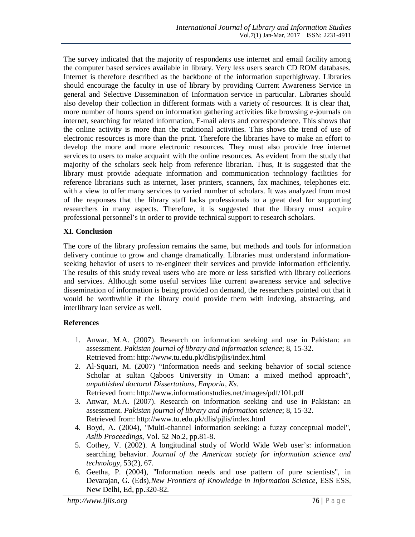The survey indicated that the majority of respondents use internet and email facility among the computer based services available in library. Very less users search CD ROM databases. Internet is therefore described as the backbone of the information superhighway. Libraries should encourage the faculty in use of library by providing Current Awareness Service in general and Selective Dissemination of Information service in particular. Libraries should also develop their collection in different formats with a variety of resources. It is clear that, more number of hours spend on information gathering activities like browsing e-journals on internet, searching for related information, E-mail alerts and correspondence. This shows that the online activity is more than the traditional activities. This shows the trend of use of electronic resources is more than the print. Therefore the libraries have to make an effort to develop the more and more electronic resources. They must also provide free internet services to users to make acquaint with the online resources. As evident from the study that majority of the scholars seek help from reference librarian. Thus, It is suggested that the library must provide adequate information and communication technology facilities for reference librarians such as internet, laser printers, scanners, fax machines, telephones etc. with a view to offer many services to varied number of scholars. It was analyzed from most of the responses that the library staff lacks professionals to a great deal for supporting researchers in many aspects. Therefore, it is suggested that the library must acquire professional personnel's in order to provide technical support to research scholars.

## **XI. Conclusion**

The core of the library profession remains the same, but methods and tools for information delivery continue to grow and change dramatically. Libraries must understand informationseeking behavior of users to re-engineer their services and provide information efficiently. The results of this study reveal users who are more or less satisfied with library collections and services. Although some useful services like current awareness service and selective dissemination of information is being provided on demand, the researchers pointed out that it would be worthwhile if the library could provide them with indexing, abstracting, and interlibrary loan service as well.

# **References**

- 1. Anwar, M.A. (2007). Research on information seeking and use in Pakistan: an assessment. *Pakistan journal of library and information science*; 8, 15-32. Retrieved from: http://www.tu.edu.pk/dlis/pjlis/index.html
- 2. Al-Squari, M. (2007) "Information needs and seeking behavior of social science Scholar at sultan Qaboos University in Oman: a mixed method approach", *unpublished doctoral Dissertations, Emporia, Ks.* Retrieved from: http://www.informationstudies.net/images/pdf/101.pdf
- 3. Anwar, M.A. (2007). Research on information seeking and use in Pakistan: an assessment. *Pakistan journal of library and information science*; 8, 15-32. Retrieved from: http://www.tu.edu.pk/dlis/pjlis/index.html
- 4. Boyd, A. (2004), "Multi-channel information seeking: a fuzzy conceptual model", *Aslib Proceedings*, Vol. 52 No.2, pp.81-8.
- 5. Cothey, V. (2002). A longitudinal study of World Wide Web user's: information searching behavior. *Journal of the American society for information science and technology,* 53(2), 67.
- 6. Geetha, P. (2004), "Information needs and use pattern of pure scientists", in Devarajan, G. (Eds),*New Frontiers of Knowledge in Information Science*, ESS ESS, New Delhi, Ed, pp.320-82.